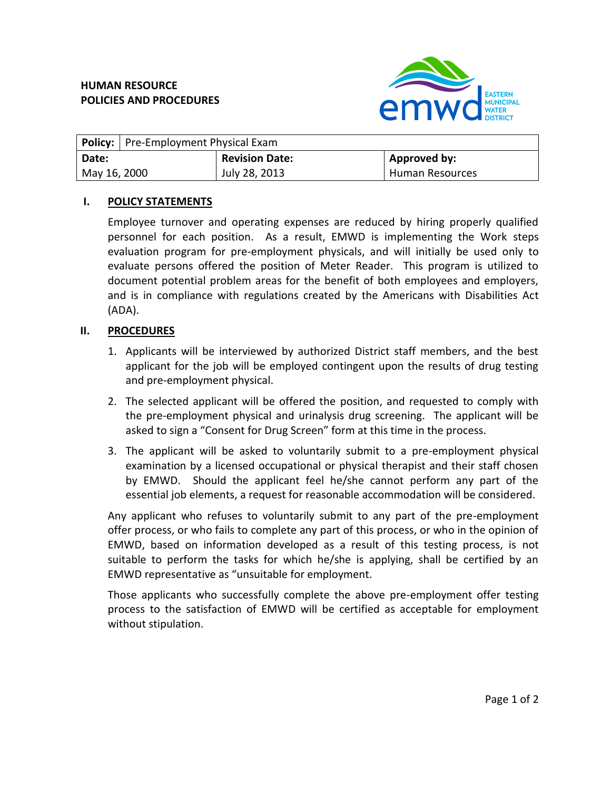

| <b>Policy:</b>   Pre-Employment Physical Exam |                       |                 |
|-----------------------------------------------|-----------------------|-----------------|
| Date:                                         | <b>Revision Date:</b> | Approved by:    |
| May 16, 2000                                  | July 28, 2013         | Human Resources |

## **I. POLICY STATEMENTS**

Employee turnover and operating expenses are reduced by hiring properly qualified personnel for each position. As a result, EMWD is implementing the Work steps evaluation program for pre-employment physicals, and will initially be used only to evaluate persons offered the position of Meter Reader. This program is utilized to document potential problem areas for the benefit of both employees and employers, and is in compliance with regulations created by the Americans with Disabilities Act (ADA).

## **II. PROCEDURES**

- 1. Applicants will be interviewed by authorized District staff members, and the best applicant for the job will be employed contingent upon the results of drug testing and pre-employment physical.
- 2. The selected applicant will be offered the position, and requested to comply with the pre-employment physical and urinalysis drug screening. The applicant will be asked to sign a "Consent for Drug Screen" form at this time in the process.
- 3. The applicant will be asked to voluntarily submit to a pre-employment physical examination by a licensed occupational or physical therapist and their staff chosen by EMWD. Should the applicant feel he/she cannot perform any part of the essential job elements, a request for reasonable accommodation will be considered.

Any applicant who refuses to voluntarily submit to any part of the pre-employment offer process, or who fails to complete any part of this process, or who in the opinion of EMWD, based on information developed as a result of this testing process, is not suitable to perform the tasks for which he/she is applying, shall be certified by an EMWD representative as "unsuitable for employment.

Those applicants who successfully complete the above pre-employment offer testing process to the satisfaction of EMWD will be certified as acceptable for employment without stipulation.